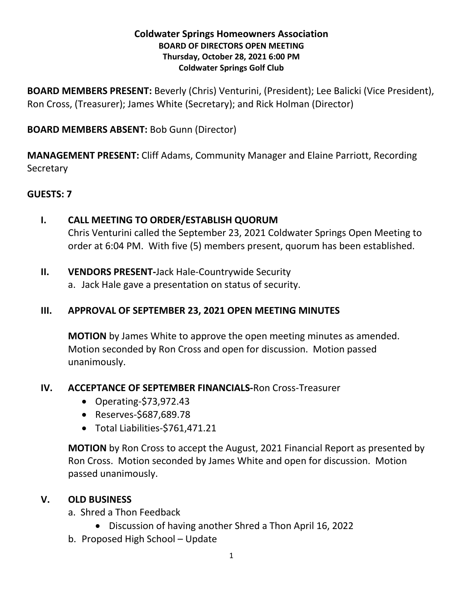#### **Coldwater Springs Homeowners Association BOARD OF DIRECTORS OPEN MEETING Thursday, October 28, 2021 6:00 PM Coldwater Springs Golf Club**

**BOARD MEMBERS PRESENT:** Beverly (Chris) Venturini, (President); Lee Balicki (Vice President), Ron Cross, (Treasurer); James White (Secretary); and Rick Holman (Director)

## **BOARD MEMBERS ABSENT:** Bob Gunn (Director)

**MANAGEMENT PRESENT:** Cliff Adams, Community Manager and Elaine Parriott, Recording **Secretary** 

## **GUESTS: 7**

- **I. CALL MEETING TO ORDER/ESTABLISH QUORUM** Chris Venturini called the September 23, 2021 Coldwater Springs Open Meeting to order at 6:04 PM. With five (5) members present, quorum has been established.
- **II. VENDORS PRESENT-**Jack Hale-Countrywide Security
	- a. Jack Hale gave a presentation on status of security.

## **III. APPROVAL OF SEPTEMBER 23, 2021 OPEN MEETING MINUTES**

**MOTION** by James White to approve the open meeting minutes as amended. Motion seconded by Ron Cross and open for discussion. Motion passed unanimously.

#### **IV. ACCEPTANCE OF SEPTEMBER FINANCIALS-**Ron Cross-Treasurer

- Operating*-*\$73,972.43
- Reserves-\$687,689.78
- Total Liabilities-\$761,471.21

**MOTION** by Ron Cross to accept the August, 2021 Financial Report as presented by Ron Cross. Motion seconded by James White and open for discussion. Motion passed unanimously.

## **V. OLD BUSINESS**

- a. Shred a Thon Feedback
	- Discussion of having another Shred a Thon April 16, 2022
- b. Proposed High School Update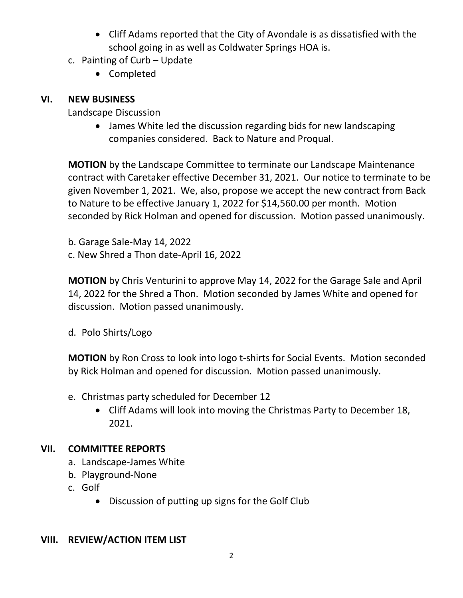- Cliff Adams reported that the City of Avondale is as dissatisfied with the school going in as well as Coldwater Springs HOA is.
- c. Painting of Curb Update
	- Completed

# **VI. NEW BUSINESS**

Landscape Discussion

• James White led the discussion regarding bids for new landscaping companies considered. Back to Nature and Proqual.

**MOTION** by the Landscape Committee to terminate our Landscape Maintenance contract with Caretaker effective December 31, 2021. Our notice to terminate to be given November 1, 2021. We, also, propose we accept the new contract from Back to Nature to be effective January 1, 2022 for \$14,560.00 per month. Motion seconded by Rick Holman and opened for discussion. Motion passed unanimously.

b. Garage Sale-May 14, 2022 c. New Shred a Thon date-April 16, 2022

**MOTION** by Chris Venturini to approve May 14, 2022 for the Garage Sale and April 14, 2022 for the Shred a Thon. Motion seconded by James White and opened for discussion. Motion passed unanimously.

d. Polo Shirts/Logo

**MOTION** by Ron Cross to look into logo t-shirts for Social Events. Motion seconded by Rick Holman and opened for discussion. Motion passed unanimously.

- e. Christmas party scheduled for December 12
	- Cliff Adams will look into moving the Christmas Party to December 18, 2021.

# **VII. COMMITTEE REPORTS**

- a. Landscape-James White
- b. Playground-None
- c. Golf
	- Discussion of putting up signs for the Golf Club

## **VIII. REVIEW/ACTION ITEM LIST**